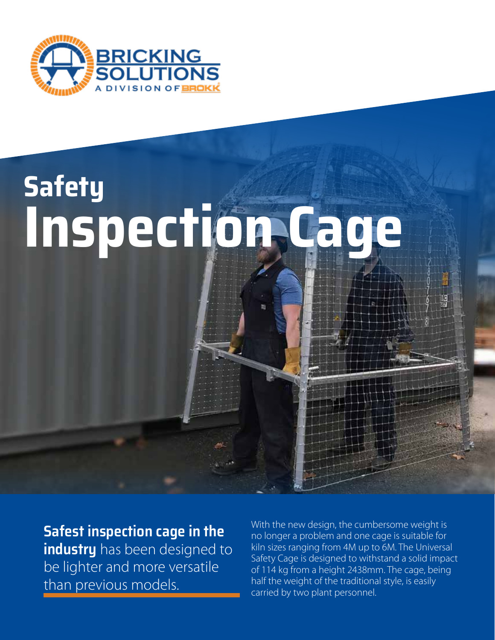

# **Safety Inspection Cage**

**Safest inspection cage in the industry** has been designed to be lighter and more versatile than previous models.

With the new design, the cumbersome weight is no longer a problem and one cage is suitable for kiln sizes ranging from 4M up to 6M. The Universal Safety Cage is designed to withstand a solid impact of 114 kg from a height 2438mm. The cage, being half the weight of the traditional style, is easily carried by two plant personnel.